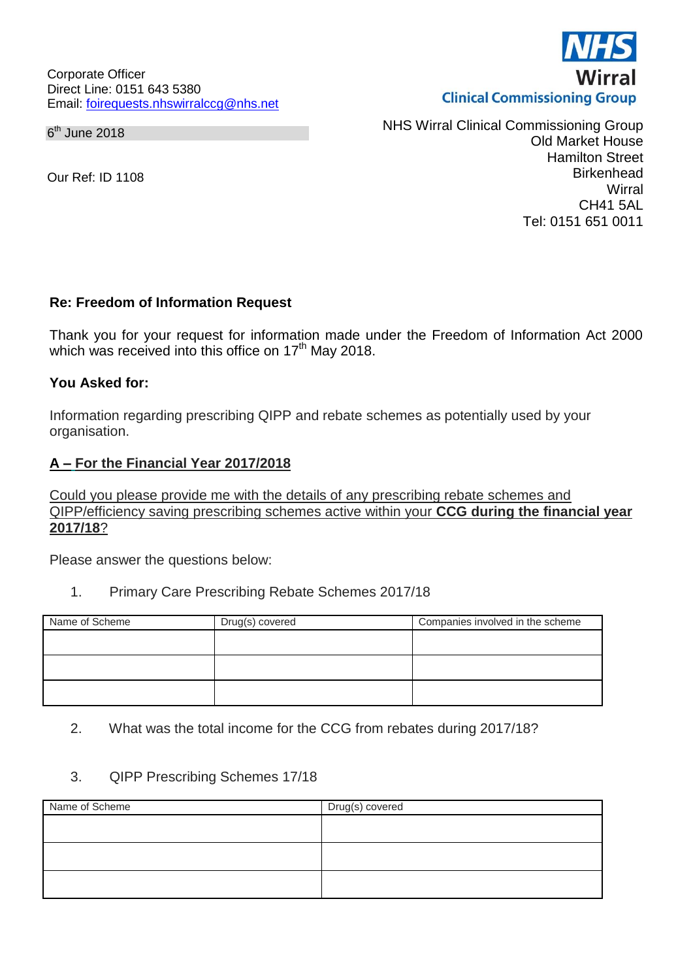Corporate Officer Direct Line: 0151 643 5380 Email: [foirequests.nhswirralccg@nhs.net](mailto:foirequests.nhswirralccg@nhs.net)

6<sup>th</sup> June 2018

Our Ref: ID 1108

NHS Wirral Clinical Commissioning Group Old Market House Hamilton Street **Birkenhead Wirral** CH41 5AL Tel: 0151 651 0011

#### **Re: Freedom of Information Request**

Thank you for your request for information made under the Freedom of Information Act 2000 which was received into this office on  $17<sup>th</sup>$  May 2018.

#### **You Asked for:**

Information regarding prescribing QIPP and rebate schemes as potentially used by your organisation.

#### **A – For the Financial Year 2017/2018**

Could you please provide me with the details of any prescribing rebate schemes and QIPP/efficiency saving prescribing schemes active within your **CCG during the financial year 2017/18**?

Please answer the questions below:

1. Primary Care Prescribing Rebate Schemes 2017/18

| Drug(s) covered | Companies involved in the scheme |
|-----------------|----------------------------------|
|                 |                                  |
|                 |                                  |
|                 |                                  |
|                 |                                  |
|                 |                                  |

2. What was the total income for the CCG from rebates during 2017/18?

#### 3. QIPP Prescribing Schemes 17/18

| Name of Scheme | Drug(s) covered |
|----------------|-----------------|
|                |                 |
|                |                 |
|                |                 |
|                |                 |
|                |                 |
|                |                 |

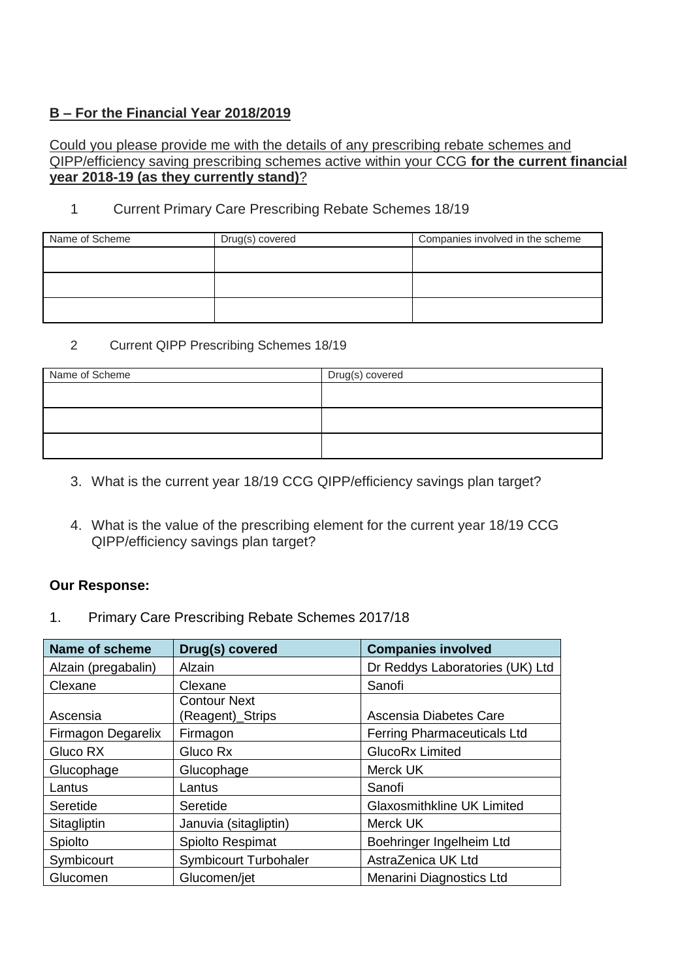## **B – For the Financial Year 2018/2019**

#### Could you please provide me with the details of any prescribing rebate schemes and QIPP/efficiency saving prescribing schemes active within your CCG **for the current financial year 2018-19 (as they currently stand)**?

### 1 Current Primary Care Prescribing Rebate Schemes 18/19

| Name of Scheme | Drug(s) covered | Companies involved in the scheme |
|----------------|-----------------|----------------------------------|
|                |                 |                                  |
|                |                 |                                  |
|                |                 |                                  |
|                |                 |                                  |
|                |                 |                                  |

#### 2 Current QIPP Prescribing Schemes 18/19

| Name of Scheme | Drug(s) covered |
|----------------|-----------------|
|                |                 |
|                |                 |
|                |                 |
|                |                 |
|                |                 |

- 3. What is the current year 18/19 CCG QIPP/efficiency savings plan target?
- 4. What is the value of the prescribing element for the current year 18/19 CCG QIPP/efficiency savings plan target?

#### **Our Response:**

1. Primary Care Prescribing Rebate Schemes 2017/18

| <b>Name of scheme</b> | Drug(s) covered                         | <b>Companies involved</b>          |
|-----------------------|-----------------------------------------|------------------------------------|
| Alzain (pregabalin)   | <b>Alzain</b>                           | Dr Reddys Laboratories (UK) Ltd    |
| Clexane               | Clexane                                 | Sanofi                             |
| Ascensia              | <b>Contour Next</b><br>(Reagent)_Strips | Ascensia Diabetes Care             |
| Firmagon Degarelix    | Firmagon                                | <b>Ferring Pharmaceuticals Ltd</b> |
| Gluco RX              | Gluco Rx                                | <b>GlucoRx Limited</b>             |
| Glucophage            | Glucophage                              | Merck UK                           |
| Lantus                | Lantus                                  | Sanofi                             |
| Seretide              | Seretide                                | <b>Glaxosmithkline UK Limited</b>  |
| Sitagliptin           | Januvia (sitagliptin)                   | Merck UK                           |
| Spiolto               | Spiolto Respimat                        | Boehringer Ingelheim Ltd           |
| Symbicourt            | Symbicourt Turbohaler                   | AstraZenica UK Ltd                 |
| Glucomen              | Glucomen/jet                            | Menarini Diagnostics Ltd           |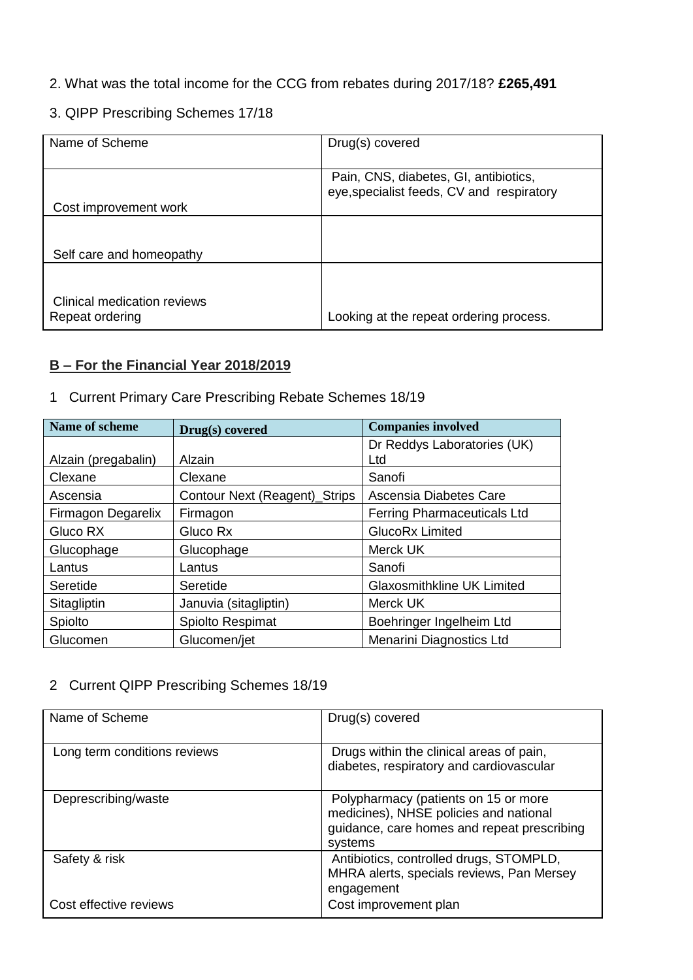### 2. What was the total income for the CCG from rebates during 2017/18? **£265,491**

# 3. QIPP Prescribing Schemes 17/18

| Name of Scheme                                 | Drug(s) covered                                                                    |
|------------------------------------------------|------------------------------------------------------------------------------------|
| Cost improvement work                          | Pain, CNS, diabetes, GI, antibiotics,<br>eye, specialist feeds, CV and respiratory |
| Self care and homeopathy                       |                                                                                    |
| Clinical medication reviews<br>Repeat ordering | Looking at the repeat ordering process.                                            |

# **B – For the Financial Year 2018/2019**

1 Current Primary Care Prescribing Rebate Schemes 18/19

| Name of scheme      | Drug(s) covered               | <b>Companies involved</b>          |
|---------------------|-------------------------------|------------------------------------|
|                     |                               | Dr Reddys Laboratories (UK)        |
| Alzain (pregabalin) | Alzain                        | Ltd                                |
| Clexane             | Clexane                       | Sanofi                             |
| Ascensia            | Contour Next (Reagent)_Strips | Ascensia Diabetes Care             |
| Firmagon Degarelix  | Firmagon                      | <b>Ferring Pharmaceuticals Ltd</b> |
| Gluco RX            | Gluco Rx                      | <b>GlucoRx Limited</b>             |
| Glucophage          | Glucophage                    | Merck UK                           |
| Lantus              | Lantus                        | Sanofi                             |
| Seretide            | Seretide                      | <b>Glaxosmithkline UK Limited</b>  |
| Sitagliptin         | Januvia (sitagliptin)         | Merck UK                           |
| Spiolto             | Spiolto Respimat              | Boehringer Ingelheim Ltd           |
| Glucomen            | Glucomen/jet                  | Menarini Diagnostics Ltd           |

# 2 Current QIPP Prescribing Schemes 18/19

| Name of Scheme               | Drug(s) covered                                                                                                                          |
|------------------------------|------------------------------------------------------------------------------------------------------------------------------------------|
| Long term conditions reviews | Drugs within the clinical areas of pain,<br>diabetes, respiratory and cardiovascular                                                     |
| Deprescribing/waste          | Polypharmacy (patients on 15 or more<br>medicines), NHSE policies and national<br>guidance, care homes and repeat prescribing<br>systems |
| Safety & risk                | Antibiotics, controlled drugs, STOMPLD,<br>MHRA alerts, specials reviews, Pan Mersey<br>engagement                                       |
| Cost effective reviews       | Cost improvement plan                                                                                                                    |